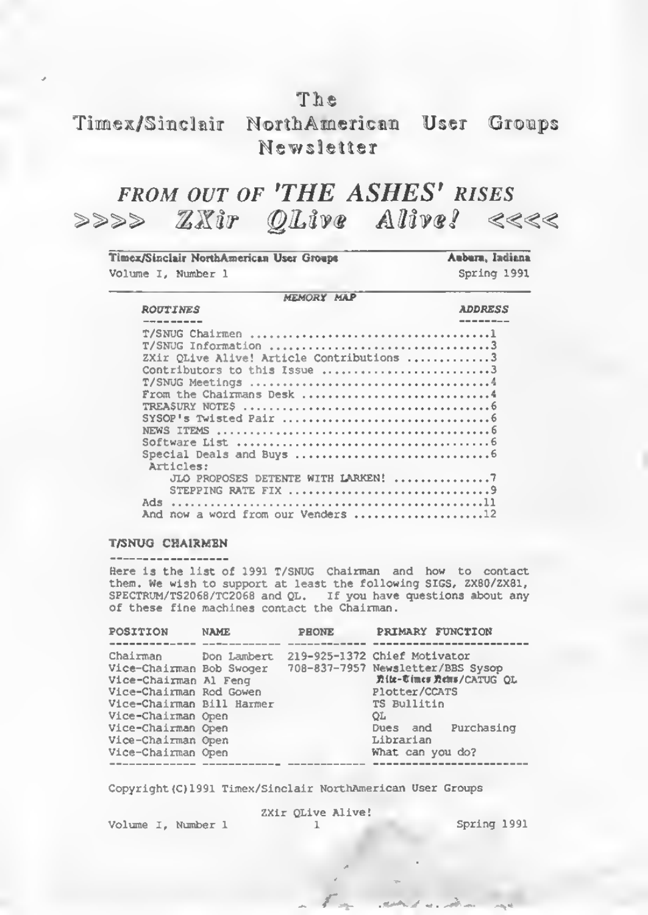# The

# Timex/Sinclair NorthAmerican User Groups Newsletter

# FROM OUT OF 'THE ASHES' RISES<br>>>>>  $\mathbb{Z}\mathbb{X}$ ir ©Live Alive? <<<<

| Timex/Sinclair NorthAmerican User Groups<br>Volume I. Number 1 | Auburn, Indiana<br>Spring 1991 |
|----------------------------------------------------------------|--------------------------------|
| MEMORY MAP                                                     |                                |
| <b>ROUTINES</b>                                                | <b>ADDRESS</b>                 |
|                                                                |                                |
|                                                                |                                |
| T/SNUG Information 3                                           |                                |
| ZXir OLive Alive! Article Contributions 3                      |                                |
| Contributors to this Issue 3                                   |                                |
|                                                                |                                |
|                                                                |                                |
|                                                                |                                |
|                                                                |                                |
|                                                                |                                |
|                                                                |                                |
|                                                                |                                |
|                                                                |                                |
| Articles:                                                      |                                |
| JLO PROPOSES DETENTE WITH LARKEN! 7                            |                                |
|                                                                |                                |
|                                                                |                                |
|                                                                |                                |
| And now a word from our Venders 12                             |                                |

#### T/SNUO CHAIRMEN

Here is the list of 1991 T/SNUG Chairman and how to contact them. We wish to support at least the following SIGS, ZX80/ZX81,<br>SPECTRUM/TS2068/TC2068 and QL. If you have questions about any of these fine machines contact the Chairman.

| POSITION                                                                                                                                                                                                      | <b>NAME</b> | PHONE | PRIMARY FUNCTION                                                                                                                                                                                    |
|---------------------------------------------------------------------------------------------------------------------------------------------------------------------------------------------------------------|-------------|-------|-----------------------------------------------------------------------------------------------------------------------------------------------------------------------------------------------------|
|                                                                                                                                                                                                               |             |       |                                                                                                                                                                                                     |
| Chairman<br>Vice-Chairman Bob Swoger<br>Vice-Chairman Al Feng<br>Vice-Chairman Rod Gowen<br>Vice-Chairman Bill Harmer<br>Vice-Chairman Open<br>Vice-Chairman Open<br>Vice-Chairman Open<br>Vice-Chairman Open | Don Lambert |       | 219-925-1372 Chief Motivator<br>708-837-7957 Newsletter/BBS Sysop<br><b>見体- 6 imes 見ems/CATUG OL</b><br>Plotter/CCATS<br>TS Bullitin<br>OL.<br>Dues and Purchasing<br>Librarian<br>What can you do? |
|                                                                                                                                                                                                               |             |       |                                                                                                                                                                                                     |

Copyright (C) 1991 Timex/Sinclair NorthAmerican User Groups

Volume I, Number 1

ZXir QLive Alive!

Spring 1991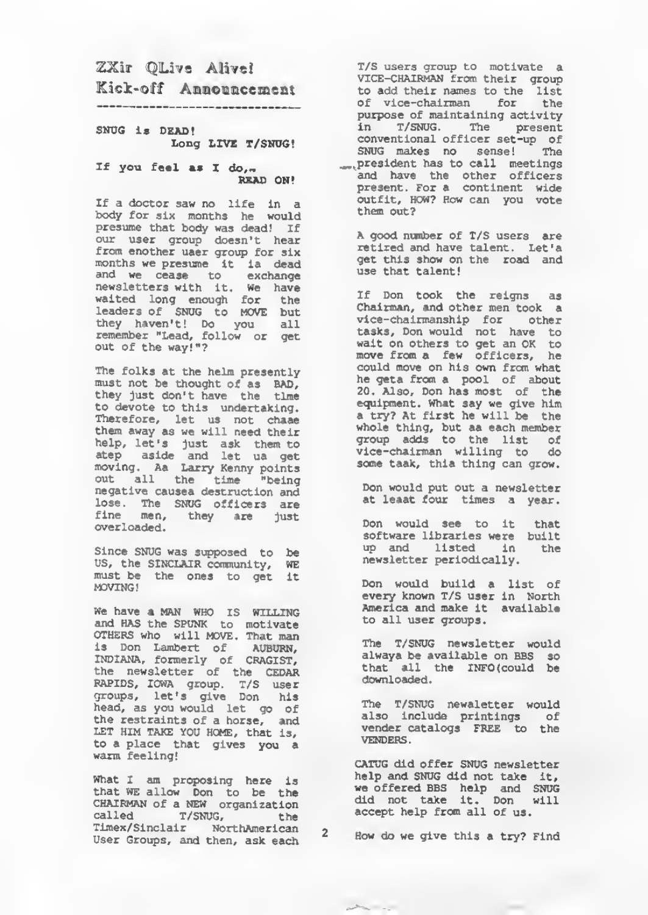# ZXir QLive Alivel Kick-off Announcement

#### SNUG is DEAD! Long LIVE T/SNUG!

#### If you feel as I do,-READ ON!

If a doctor saw no life in a body for six months he would presume that body was dead! If our user group doesn't hear<br>from enother uaer group for six from another user group for six months we presume It is dead and we cease to exchange<br>newsletters with it. We have waited long enough for the leaders of SNUG to MOVE but they haven't! Do you all<br>remember "Lead, follow or get out of the way! "?

The folks at the helm presently must not be thought of as bad, they just don't have the time to devote to this undertaking. Therefore, let us not chase them away as we will need their help, let's just ask them to<br>atep aside and let us get<br>moving. As Larry Kenny points<br>out all the time "being<br>negative causes destruction and lose. The SNUG officers are fine men, they are just overloaded.

Since SNUG was supposed to be US, the SINCLAIR community, WE must be the ones to get it MOVING

We have a MAN WHO IS WILLING and HAS the SPUNK to motivate Others who will MOVE . That man is Don Lambert of AUBURN, INDIANA, formerly of CRAGIST, the newsletter of the CEDAR RAPIDS, IOWA group. T/S user groups, let's give Don his head, as you would let go of the restraints of a horse, and LET HIM TAKE YOU HOME, that is, to a place that gives you a warm feeling!

What <sup>I</sup> am proposing here is that WE allow Don to be the CHAIRMAN of <sup>a</sup> NEW organization called T/SNUG, the<br>Timex/Sinclair NorthAmerican Timex/Sinclair NorthAmerican 2<br>User Groups, and then, ask each

T/S users group to motivate a VICE-CHAIRMAN from their group to add their names to the list of vice-chairman for the purpose of maintaining activity in T/SMJG. The present conventional officer set-up of SNUG makes no sense! The ...president has to call meetings and have the other officers present. For a continent wide outfit, HOW? How can you vote

A good number of T/S users are retired and have talent. Let's get this show on the road and use that talent!

If Don took the reigns as<br>Chairman, and other men took a vice-chairmanship for other tasks, Don would not have to wait on others to get an OK to<br>move from a few officers, he could move on his own from what he gets from a pool of about 20. Also, Don has most of the equipment. What say we give him<br>a try? At first he will be the <sup>a</sup> try? At first he will be the whole thing, but as each member group adds to the list o£ vice-chairman willing to do some taak, this thing can grow.

Don would put out a newsletter at leaat four times a year.

Don would see to it that software libraries were built<br>up and listed in the up and listed in newsletter periodically.

Don would build <sup>a</sup> list of every known T/S user in North America and make it available to all user groups.

The T/SNUG newsletter would always be available on BBS so that all the INFO(could be downloaded.

The T/SNUG newsletter would also include printings of vender catalogs FREE to the<br>VENDERS.

CATUG did offer SNUG newsletter help and SNUG did not take it,<br>we offered BBS help and SNUG<br>did not take it. Don will<br>accept help from all of us.

 $\overline{\phantom{a}}$ 

How do we give this a try? Find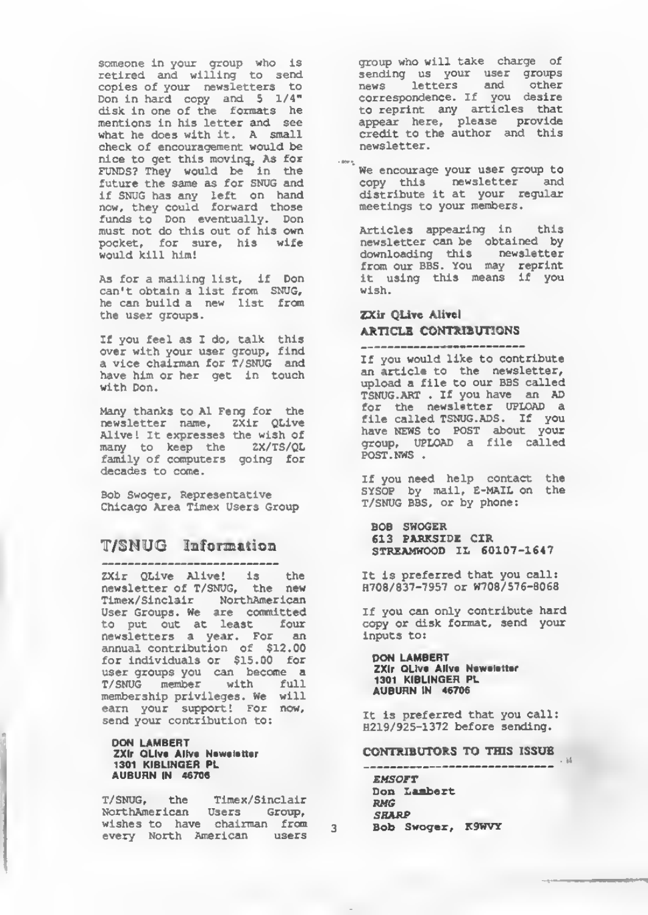someone in your group who is retired and willing to send copies of your newsletters to Don in hard copy and 5 1/4" disk in one of the formats he mentions in his letter and see what he does with it. A small check of encouragement would be nice to get this moving, As for FUNDS? They would be in the future the same as for SNUG and if SNUG has any left on hand now, they could forward those funds to Don eventually. Don must not do this out of his own pocket, for sure, his wife would kill him!

As for a mailing list, if Don can't obtain a list from SNUG, he can build a new list from the user groups.

If you feel as I do, talk this over with your user group, find a vice chairman for T/SNUG and have him or her get in touch with Don.

Many thanks to Al Feng for the newsletter name, ZXir QLive Alive! It expresses the wish of many to keep the ZX/TS/QL family of computers going for decades to come.

Bob Swoger, Representative Chicago Area Timex Users Group

## T/SNUG Information

ZXir QLive Alive! is the newsletter of T/SNUG, the new Timex/Sinclair NorthAmerlean User Groups. We are committed to put out at least four newsletters a year. For an annual contribution of S12.00 for individuals or \$15.00 for user groups you can become a T/SNUG member with full membership privileges, we will earn your support! For now, send your contribution to:

#### DON LAMBERT ZXIr OLIve Allve Newelstter<br>1301 KIBLINGER PL AUBURN IN 46706

T/SNUG, the Timex/Sinclair wishes to have chairman from every North American users group who will take charge of sending us your user groups news letters and other news letters and other<br>correspondence. If you desire to reprint any articles that appear here, please provide credit to the author and this newsletter

We encourage your user group to copy this newsletter and distribute it at your regular meetings to your members.

Articles appearing in this newsletter can be obtained by downloading this newsletter from our BBS. You may reprint it using this means if you wish.

# ZXir QLive Aliwl ARTICLE CONTRIBUTIONS

If you would like to contribute an article to the newsletter, upload a file to our BBS called TSNUG . ART . If you have an AD for the newsletter UPLOAD a file called TSNUG. ADS. If you have NEWS to POST about your group, UPLOAD a file called POST. NWS .

If you need help contact the SYSOP by mail, E-MAIL on the T/SNUG BBS, or by phone:

BOB SWOGER 613 PARKSIDE CIR STRZAMWOOD IL 60107-1647

It is preferred that you call: H708/837-7957 or W708/576-806B

If you can only contribute hard copy or disk format, send your inputs to:

DON LAMBERT **ZXIr OLive Allye Neweletter** 1301 KIBLINGER PL AUBURN IN 46706

It is preferred that you call: H219/925-1372 before sending.

CONTRIBUTORS TO THIS ISSUE

**EMSOFT** Don Lambert<br>*RMG<br>SHARP* Bob Swoger, K9WVY

 $\overline{3}$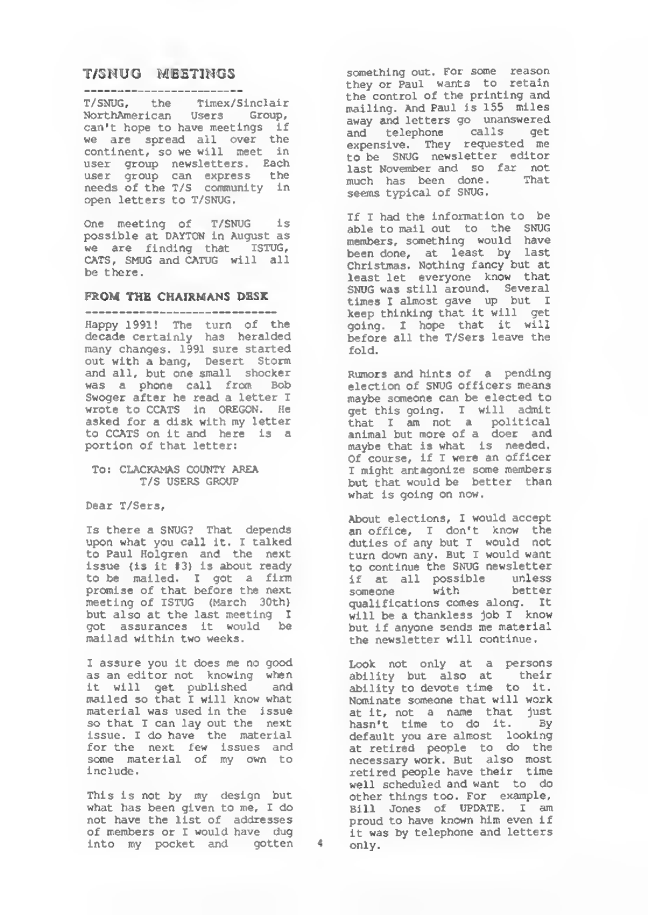#### T/SNUG MEETINGS -------------------------

T/SNUG, the Timex/Slnclair NorthAmerlean Users Group, can't hope to have meetings if we are spread all over the continent, so we will meet in user group newsletters . Each user group can express the needs of the T/S community in open letters to T/SNUG.

One meeting of T/SNUG is possible at DAYTON in August as we are finding that ISTUG, CATS, SMUG and CATUG will all

#### FROM THE CHAIRMANS DESK

Happy 1991! The turn of the decade certainly has heralded many changes. 1991 sure started and all, but one small shocker was a phone call from Bob Swoger after he read a letter I wrote to CCATS in OREGON. He asked for a disk with my letter to CCATS on it and here is a portion of that letter;

#### TO: CLACKAMAS COUNTY AREA T/S USERS GROUP

Dear T/Sers,

Is there a SNUG? That depends upon what you call it. <sup>I</sup> talked to Paul Holgren and the next issue (is It 13) is about ready to be mailed. I got a firm<br>promise of that before the next meeting of ISTUG (March 30th) but also at the last meeting <sup>I</sup> got assurances it would be mailed within two weeks.

<sup>I</sup> assure you it does me no good as an editor not knowing when it will get published and mailed so that <sup>I</sup> will know what material was used in the issue so that I can lay out the next issue. <sup>I</sup> do have the material for the next few issues and some material of my own to include

This is not by my design but what has been given to me, <sup>I</sup> do not have the list of addresses of members or <sup>I</sup> would have dug into my pocket and gotten 4 something out. For some reason they or Paul wants to retain the control of the printing and mailing. And Paul is 155 miles away and letters go unanswered and telephone calls get expensive. They requested me to be SNUG newsletter editor last November and so far not much has been done. That seems typical of SNUG.

If <sup>I</sup> had the information to be able to mail out to the SNUG members, something would have been done, at least by last Christmas. Nothing fancy but at least let everyone know that SNUG was still around. Several times <sup>I</sup> almost gave up but <sup>I</sup> keep thinking that it will get going. <sup>I</sup> hope that it will, before all the T/Sers leave the fold.

Rumors and hints of a pending election of SNUG officers means maybe someone can be elected to get this going. <sup>I</sup> will admit that <sup>I</sup> am not a political animal but more of a doer and maybe that is what is needed. Of course, if <sup>I</sup> were an officer <sup>I</sup> might antagonize some members but that would be better than what is going on now.

About elections, <sup>I</sup> would accept an office, <sup>I</sup> don't know the duties of any but <sup>I</sup> would not turn down any. But <sup>I</sup> would want to continue the SNUG newsletter if at all possible unless someone with better qualifications comes along. It will be a thankless job I know but if anyone sends me material<br>the newsletter will continue.

Look not only at a persons ability but also at their ability to devote time to it. Nominate someone that will work at it, not a name that just<br>hasn't time to do it. By hasn't time to do it. default you are almost looking at retired people to do the necessary work. But also most retired people have their time well scheduled and want to do other things too. For example, Bill Jones of UPDATE. <sup>I</sup> am proud to have known him even if it was by telephone and letters only.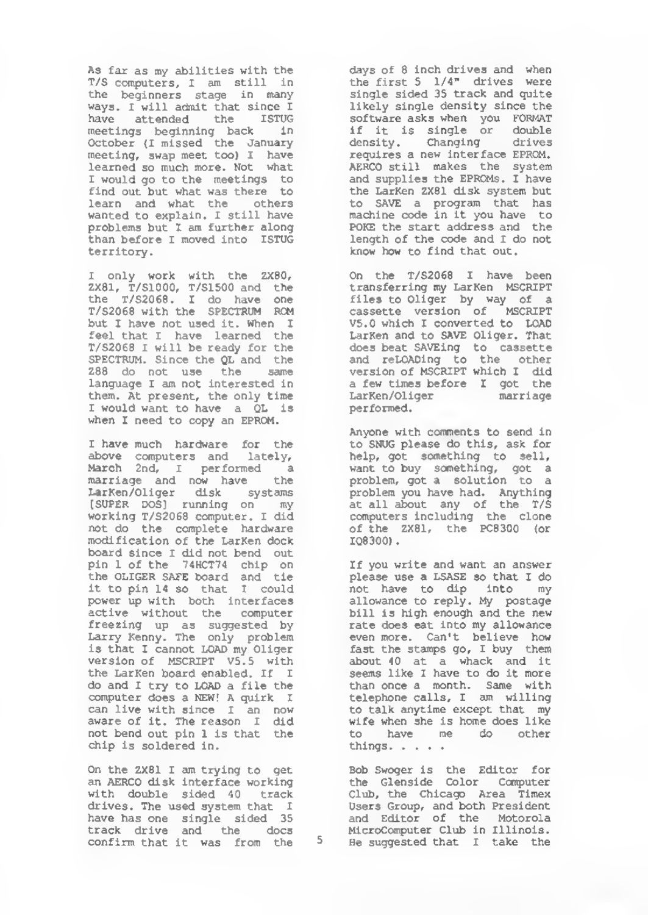As far as my abilities with the T/s computers, <sup>I</sup> am still in the beginners stage in many ways. <sup>I</sup> will admit that since <sup>I</sup> have attended the ISTUG meetings beginning back in October (I missed the January meeting, swap meet too) <sup>I</sup> have learned so much more. Not what <sup>I</sup> would go to the meetings to find out but what was there to learn and what the others wanted to explain. <sup>I</sup> still have problems but I am further along than before I moved into ISTUG<br>territory.

I only work with the ZXBO, ZX81, T/S1000, T/S1500 and the the T/S2068. I do have one<br>T/S2068-with-the SPECTRUM BOM but I have not used it. When I feel that <sup>I</sup> have learned the T/S2068 <sup>I</sup> will be ready for the SPECTRUM. Since the QL and the Z88 do not use the same language <sup>I</sup> am not interested in them. At present, the only time <sup>I</sup> would want to have a QL Is when <sup>I</sup> need to copy an EPROM.

<sup>I</sup> have much hardware for the above computers and lately,<br>March 2nd, I performed a<br>marriage and now have the LarKen/Oliger disk systams (SUPER DOS) running on my working T/S2068 computer. <sup>I</sup> did not do the complete hardware modification of the LarKen dock board since <sup>I</sup> did not bend out pin <sup>1</sup> of the "74HCT74 chip on the OLIGER SAFE board and tie it to pin 14 so that <sup>I</sup> could power up with both interfaces active without the computer freezing up as suggested by Larry Kenny. The only problem is that <sup>I</sup> cannot LOAD my Oliger version of MSCRIPT VS. 5 with the LarKen board enabled. If <sup>I</sup> do and I try to LOAD a file the computer does a new! a quirk <sup>I</sup> can live with since I an now aware of it. The reason <sup>I</sup> did not bend out pin <sup>1</sup> is that the chip is soldered in.

On the ZX81 <sup>I</sup> am trying to get an AERCO disk interface working with double sided 40 track drives. The used system that I have has one single sided 35<br>track drive and the docs confirm that it was from the 5

days of <sup>8</sup> inch drives and when the first 5 1/4" drives were single sided 35 track and quite likely single density since the software asks when you FORMAT if it is single or double density. Changing drives requires a new interface EPROM. AERCO still makes the system and supplies the EPROMs. <sup>I</sup> have the LarKen ZX81 disk system but to SAVE a program that has machine code in it you have to POKE the start address and the length of the code and <sup>I</sup> do not know how to find that out.

On the T/S20S8 <sup>I</sup> have been transferring my LarKen MSCRIPT files to Oliger by way of a cassette version of MSCRIPT V5.0 which I converted to LOAD LarKen and to SAVE Oliger. That does beat SAVEing to cassette<br>and reLOADing to the other version of MSCRIPT which <sup>I</sup> did a few times before <sup>I</sup> got the LarKen/Oliger marriage performed.

Anyone with comments to send in to SNUG please do this, ask for help, got something to sell, want to buy something, got a<br>problem, got a solution to a problem you have had. Anything at all about any of the T/S computers including the clone of the ZX81, the PC8300 (or IQ8300)

If you write and want an answer please use a LSASE so that <sup>I</sup> do not have to dip into my allowance to reply. My postage bill is high enough and the new rate does eat into my allowance even more. Can't believe how fast the stamps go, <sup>I</sup> buy them about 40 at a whack and it seems like I have to do it more than once a month. Same with telephone calls, I am willing to talk anytime except that my wife when she is home does like to have me do other things. . . . .

Bob Swoger is the Editor for the Glenside Color Computer Club, the Chicago Area Timex Users Group, and both President and Editor of the Motorola Microcomputer Club in Illinois. 5 He suggested that I take the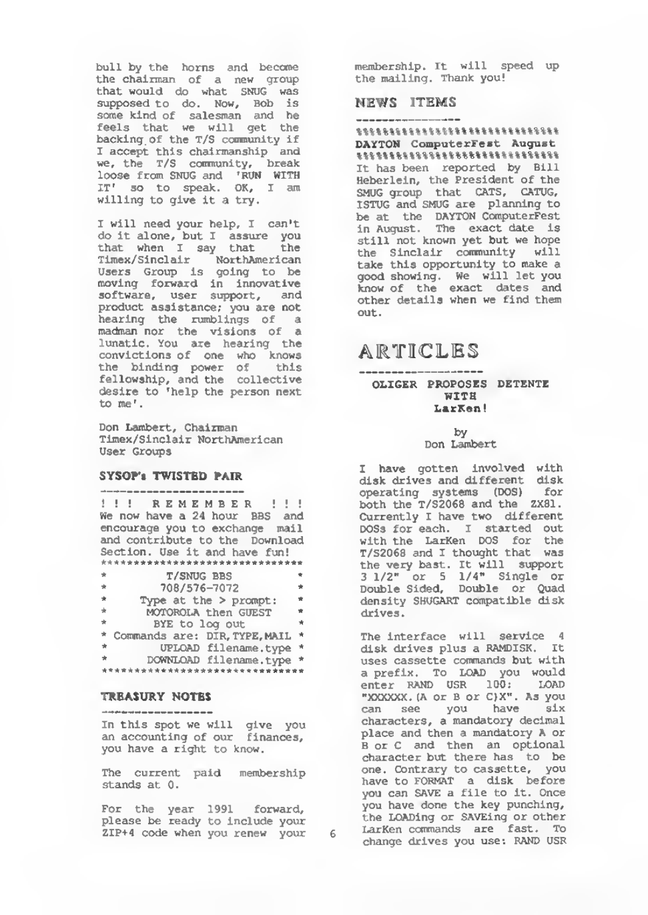bull by the horns and become the chairman of a new group that would do what SNUG was supposed to do. Now, Bob is some kind of salesman and he feels that we will get the backing of the T/S community if <sup>I</sup> accept this chairmanship and we, the T/S community, break loose from SNUG and 'RUN WITH IT' so to speak. OK, I am willing to give it a try.

<sup>I</sup> will need your help, <sup>I</sup> can't do it alone, but I assure you that when <sup>I</sup> say that the Tlmex/ Sinclair NorthAmerican Users Group is going to be moving forward in innovative software, user support, and product assistance; you are not hearing the rumblings of a madman nor the visions of a lunatic. You are hearing the convictions of one who knows the binding power of this fellowship, and the collective desire to 'help the person next<br>to me'.

Don Lambert, Chairman Timex/Sinclair NorthAmerican User Groups

#### SYSOP's TWISTED PAIR

---------------------<br>!!! REMEMBER !!! We now have a 24 hour BBS and encourage you to exchange mail and contribute to the Download Section. Use it and have fun! \* T/SNUG BBS \* \* 708/576-7072 \* \* Type at the > prompt: \*<br>\* MOTOROLA then GUEST \* BYE to log out \* Commands are: DIR, TYPE, MAIL \*  $\star$ UPLOAD filename. type \* \* DOWNLOAD filename.type \* w.

#### TREASURY NOTES

---------------------

In this spot we will give you an accounting of our finances, you have a right to know.

The current paid membership stands at 0.

for the year 1991 forward, please be ready to include your ZIP+4 code when you renew your

membership. It will speed up the mailing. Thank you!

#### NEWS ITEMS

 $% \begin{equation} \begin{equation} \mathcal{N} = \mathcal{N} \times \mathcal{N} = \mathcal{N} \times \mathcal{N} \times \mathcal{N} = \mathcal{N} \times \mathcal{N} \times \mathcal{N} \times \mathcal{N} \times \mathcal{N} \times \mathcal{N} = \mathcal{N} \times \mathcal{N} \times \mathcal{N} \times \mathcal{N} \times \mathcal{N} \times \mathcal{N} \times \mathcal{N} \times \mathcal{N} \times \mathcal{N} \times \mathcal{N} \times \mathcal{N} \times \mathcal{N} \times \mathcal{N} \times \mathcal{N} \times \mathcal$ DAYTON ComputerFest August %\*\*%%%%%%%%%%%%%%%%%%\*%%%%%%%%% It has been reported by Bill Heberlein, the President of the SMUG group that CATS, CATUG, ISTUG and SMUG are planning to be at the DAYTON ComputerFest in August. The exact date is still not known yet but we hope the Sinclair community will take this opportunity to make a good showing. We will let you know of the exact dates and other details when we find them out.

### ARTICLES ------------------

#### OLIGER PROPOSES DETENTE WITH LarKen!

 $bv$ Don Lambert

<sup>I</sup> have gotten Involved with disk drives and different disk operating systems (DOS) for both the T/S2068 and the ZX81. Currently <sup>I</sup> have two different DOSs for each. <sup>I</sup> started out with the LarKen DOS for the T/S2068 and <sup>I</sup> thought that was the very best. It will support 3 1/2" or <sup>5</sup> 1/4" Single or Double Sided, Double or Quad density SHUGART compatible disk

The interface will service 4 disk drives plus a RAMDISK. It uses cassette commands but with a prefix. To LOAD you would enter rand USB 100: LOAD "XXXXXX. [A or B Or C)X". As you can see you have six characters, a mandatory decimal place and then a mandatory A or B or C and then an optional character but there has to be one. Contrary to cassette, you have to format a disk before you can SAVE a file to it. Once you have done the key punching, the LOADing or SAVEing or other LarKen commands are fast. To change drives you use: RAND USR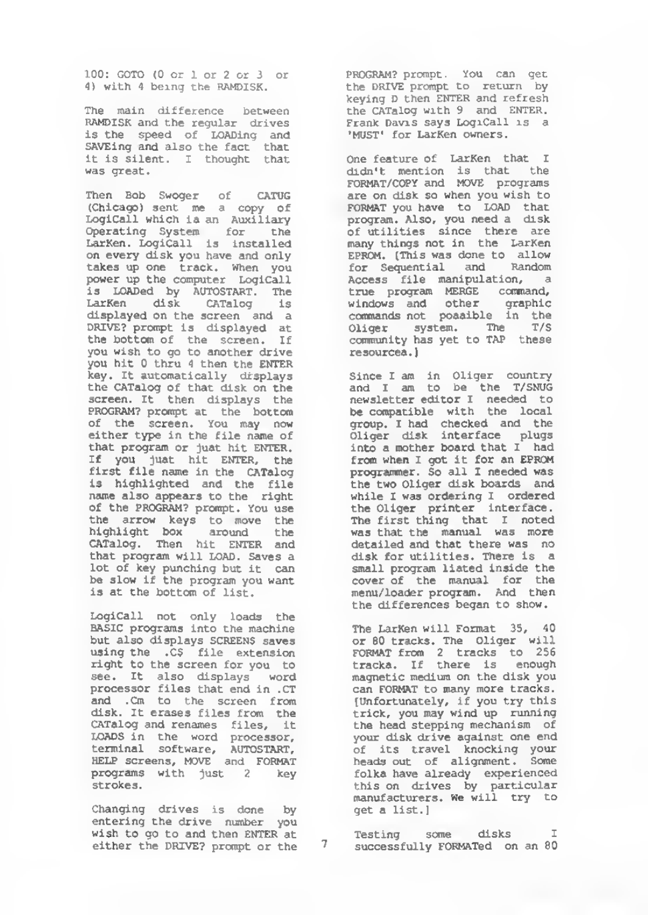100: GOTO (0 or <sup>1</sup> or <sup>2</sup> or <sup>3</sup> or 4) with <sup>1</sup> being the RAMDISK.

The main difference between RAMDISK and the regular drives is the speed of LOADing and SAVEing and also the fact that it is silent. <sup>I</sup> thought that was great.

Then Bob Swoger of CATUG (Chicago) sent me a copy df LogiCall which is an Auxiliary Operating System for the LarKen. LogiCall is installed on every disk you have and only takes up one track, when you power up the computer LogiCall is LOADed by autostart. The LarKen disk CATalog is displayed on the screen and a DRIVE? prompt is displayed at the bottom of the screen. If you wish to go to another drive you hit 0 thru <sup>A</sup> then the ENTER key. It automatically displays the CATalog of that disk on the screen. It then displays the PROGRAM? prompt at the bottom of the screen, You may now either type in the file name of that program or just hit ENTER. If you just hit ENTER, the first file name in the CATalog is highlighted and the file name also appears to the right of the PROGRAM? prompt. You use the arrow keys to move the<br>highlight box around the<br>CATalog. Then hit ENTER and that program will LOAD. Saves a lot of key punching but it can be slow if the program you want is at the bottom of list.

LogiCall not only loads the BASIC programs into the machine but also displays SCREENS saves using the .C5 file extension right to the screen for you to see. It also displays word processor files that end in .CT and .Cm to the screen from<br>disk. It erases files from the disk. It erases files from the<br>CATalog and renames files, it<br>LOADS in the word processor,<br>terminal software, AUTOSTART,<br>HELP screens, MOVE and FORMAT programs with just <sup>2</sup> key strokes.

Changing drives is done by entering the drive number you wish to go to and then ENTER at either the DRIVE? prompt or the 7 PROGRAM? prompt. You can get the DRIVE prompt to return by keying D then ENTER and refresh the CATalog with <sup>9</sup> and ENTER. Frank Davis says LogiCall is a 'MUST' for LarKen owners.

One feature of LarKen that <sup>I</sup> didn't mention is that the<br>FORMAT/COPY\_and MOVE programs are on disk so when you wish to FORMAT you have to LOAD that program. Also, you need a disk of utilities since there are<br>many things not in the LarKen EPROM. [This was done to allow for Sequential and Random Access file manipulation, a true program MERGE command, windows and other graphic commands not possible in the Oliger system. The T/S community has yet to TAP these resources.

Since <sup>I</sup> am in Oliger country and <sup>I</sup> am to be the T/SNUG newsletter editor <sup>I</sup> needed to be compatible with the local group. <sup>I</sup> had checked and the Oliger disk interface plugs into a mother board that <sup>I</sup> had from when <sup>I</sup> got it for an EPROM programmer. So all I needed was the two Oliger disk boards and while I was ordering I ordered the Oliger printer interface. The first thing that <sup>I</sup> noted was that the manual was more detailed and that there was no disk for utilities. There is a small program listed inside the cover of the manual for the menu/loader program. And then the differences began to show.

The LarKen will Format 35, 40 or 60 tracks. The Oliger will format from <sup>2</sup> tracks to 256 tracks. If there is enough magnetic medium on the disk you can FORMAT to many more tracks. [Unfortunately, if you try this trick, you may wind up running the head stepping mechanism of your disk drive against one end of its travel knocking your folka have already experienced<br>this on drives by particular manufacturers. We will try to get a list.]

Testing some disks successfully FORMATed on an 80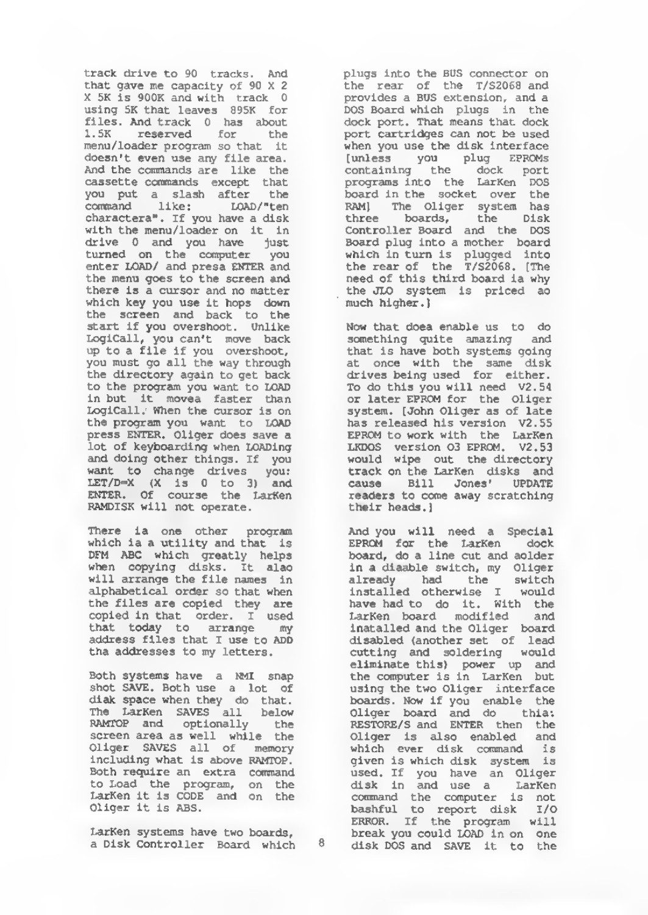track drive to 90 tracks. And that gave me capacity of 90 X 2<br>X 5K is 900K and with track 0 using 5K that leaves 895K for files. And track 0 has about <sup>1</sup> . 5K reserved for the menu/ loader program so that it doesn't even use any file area. And the commands are like the cassette commands except that you put a slash after the command like: LOAD/"ten<br>charactera". If you have a disk characters". If you have a disk<br>with the menu/loader on it in<br>drive 0 and you have just<br>turned on the computer you enter LOAD/ and presa ENTER and the menu goes to the screen and there is a cursor and no matter which key you use it hops down the screen and back to the start if you overshoot. Unlike Logical 1, you can't move back up to a file if you overshoot, you must go all the way through the directory again to get back to the program you want to LOAD in but it moves faster than LogiCall. When the cursor is on the program you want to LOAD press ENTER. Oliger does save a lot of keyboarding when LOADing and doing other things. If you want to change drives you: LET/D=X (X is 0 to 3) and ENTER. Of course the LarKen RAMDISK will not operate.

There is one other program which is a utility and that is DFM ABC which greatly helps when copying disks . It also will arrange the file names in alphabetical order so that when the files are copied they are copied in that order. <sup>I</sup> used that today to arrange my address files that <sup>I</sup> use to ADD the addresses to my letters.

Both systems have a NMI snap shot SAVE. Both use a lot of diak space when they do that. The LarKen SAVES all below RAMTOP and optionally the screen area as well while the Oliger SAVES all of memory including what is above RAMTOP Both require an extra command<br>to Load the program, on the LarKen it is CODE and on the Oliger it is ABS.

LarKen systems have two boards, a Disk Controller Board which pluas into the BUS connector on the rear of the T/S2068 and provides a BUS extension, and a DOS Board which plugs in the dock port. That means that dock port cartridges can not be used when you use the disk interface (unless you plug EPROMs<br>containing the dock port<br>programs.into the LarKen DOS board in the socket over the RAM] The Oliger system has<br>three boards, the Disk<br>Controller\_Board and the DOS Board plug into a mother board which in turn is plugged into<br>the rear of the T/S2068. [The need of this third board is why the JLO system is priced so much higher.

Now that does enable us to do something quite amazing and that is have both systems going at once with the same disk drives being used for either. To do this you will need V2.54 or later EPROM for the Oliger system. [John Oliger as of late has released his version V2.55 EPROM to work with the LarKen LKDOS version 03 EPROM. V2.53 would wipe out the directory track on the LarKen disks and cause Bill Jones' UPDATE readers to come away scratching their heads.]

And you will need a Special EPROM for the LarKen dock board, do a line cut and aolder in a disable switch, my Oliger already had the switch installed otherwise <sup>I</sup> would have had to do it. With the LarKen board modified and installed and the Oliger board disabled (another set of lead cutting and soldering would eliminate this) power up and the computer is in LarKen but using the two Oliger interface boards. Now if you enable the<br>Oliger board and do thia:<br>RESTORE/S and ENTER then the Oliger is also enabled and which ever disk command is given is which disk system is used. If you have an Oliger disk in and use a LarKen command the computer is not bashful to report disk I/O ERROR. If the program will break you could LOAD in on one disk DOS and SAVE it to the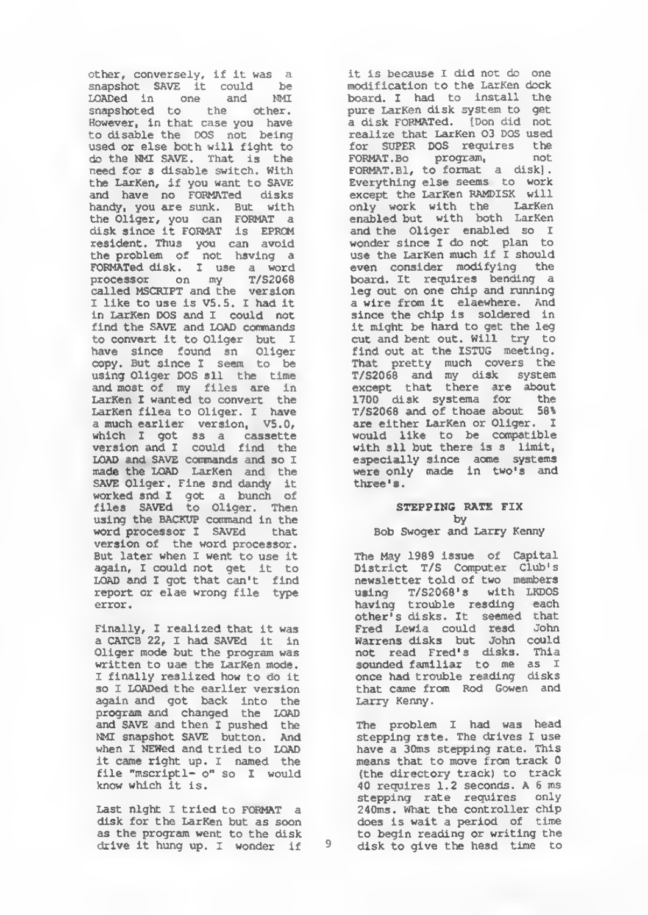other, conversely, if it was a snapshot SAVE it could be LOADed in one and NMI snapshoted to the other. However, in that case you have to disable the DOS not being used or else both will fight to do the NMI SAVE. That is the need for a disable switch. With the LarKen, if you want to SAVE and have no FORMATed disks handy, you ate sunk. But with the Oliger, you can FORMAT a disk since it FORMAT is EPROM resident. Thus you can avoid<br>the problem of not having a<br>FORMATed disk. I use a word<br>processor on my T/S2068<br>called MSCRIPT and the version <sup>I</sup> like to use is VS. 5. I had it in LarKen DOS and <sup>I</sup> could not find the SAVE and LOAD commands to convert it to Oliger but I have since found an Oliger copy. But since <sup>I</sup> seem to be using Oliger DOS all the time and most of my files are in LarKen I wanted to convert the<br>LarKen filea to Oliger. I have a much earlier version, V5.0, which I got as a cassette version and I could find the LOAD and SAVE commands and so I made the LOAD LarKen and the SAVE Oliger. Fine and dandy it worked and I got a bunch of files SAVEd to Oliger. Then using the BACKUP command in the word processor <sup>i</sup> SAVEd that version of the word processor. But later when <sup>I</sup> went to use it again, <sup>I</sup> could not get it to LOAD and I got that can't find report or elae wrong file type error.

Finally, I realized that it was<br>a CATCB 22, I had SAVEd it in Oliger mode but the program was written to uae the LarKen mode. <sup>I</sup> finally realized how to do it so I LOADed the earlier version again and got back into the program and changed the LOAD and SAVE and then <sup>I</sup> pushed the NMI snapshot SAVE button. And when <sup>I</sup> NEWed and tried to LOAD it came right up. <sup>I</sup> named the file "mscriptl- o" so I would<br>know which it is.

Last night I tried to FORMAT a disk for the LarKen but as soon as the program went to the disk<br>drive it hung up.  $I$  wonder if 9 drive it hung up. <sup>I</sup> wonder if

it is because <sup>I</sup> did not do one modification to the LarKen dock board. I had to install the<br>pure LarKen disk system to get a disk FORMATed. [Don did not realize that LarKen 03 DOS used for SUPER DOS requires the FORMAT . Bo program, not FORMAT. Bl, to format a disk]. Everything else seems to work except the LarKen RAMDISK will only work with the LarKen enabled but with both LarKen and the Oliger enabled so <sup>I</sup> wonder since <sup>I</sup> do not plan to use the LarKen much if I should even consider modifying the board. It requires bending a leg out on one chip and running a wire from it elsewhere. And since the chip is soldered in it might be hard to get the leg cut and bent out. Will try to find out at the ISTUG meeting. That pretty much covers the T/S2068 and my disk system except that there are about 1700 disk systems for the T/S2068 and of those about 5B% are either LarKen or Oliger. <sup>I</sup> would like to be compatible with all but there is a limit, especially since some systems were only made in two's and three's.

#### STEPPING RATE FIX by

#### Bob Swoger and Larry Kenny

The May 1989 issue of Capital District T/S Computer Club' newsletter told of two members using T/S2068's with LKDOS<br>having trouble reading each<br>other's disks. It seemed that<br>Fred Lewis could read John<br>Warrens disks but John could<br>not read Fred's disks. This sounded familiar to me as I once had trouble reading disks that came from Rod Gowen and Larry Kenny.

The problem I had was head stepping rate. The drives <sup>I</sup> use have a 30ms stepping rate. This means that to move from track <sup>0</sup> (the directory track) to track 40 requires 1.2 seconds. A <sup>6</sup> ms stepping rate requires only 240ms. what the controller chip does is wait a period of time to begin reading or writing the disk to give the head time to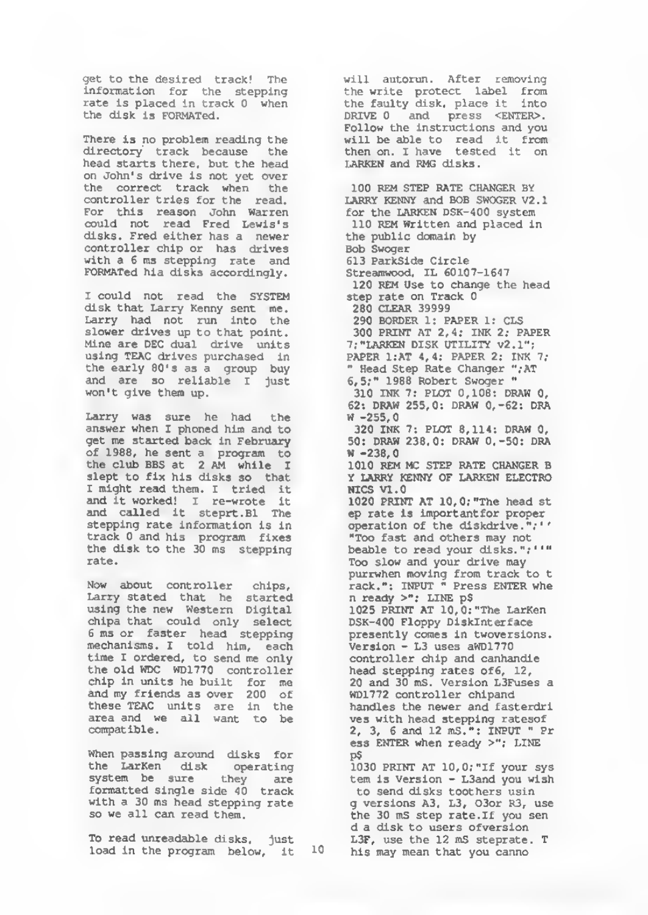get to the desired track! The information for the stepping rate is placed in track 0 when the disk is FORMATed.

There is no problem reading the directory track because the head starts there, but the head on John's drive is not yet over the correct track when the controller tries for the read. For this reason John Warren could not read Fred Lewis's disks. Fred either has a newer controller chip or has drives with a 6 ms stepping rate and FOBMATed his disks accordingly.

<sup>I</sup> could not read the SYSTEM disk that Larry Kenny sent me. Larry had not run into the slower drives up to that point. Mine are DEC dual drive units using TEAC drives purchased in the early 80's as a group buy and are so reliable <sup>I</sup> just won't give them up.

Larry was sure he had the answer when I phoned him and to get me started back in February of 19B8, he sent a program to the club BBS at <sup>2</sup> AM while I slept to fix his disks so that I might read them. I tried it<br>and it worked! I re-wrote it and called it steprt.Bl The stepping rate information ia In track 0 and his program fixes the disk to the 30 ms stepping rate.

Now about controller chips, Larry stated that he started using the new Western Digital chips that could only select <sup>6</sup> ms or faster head stepping mechanisms. <sup>I</sup> told him, each time <sup>I</sup> ordered, to send me only the old WDC WD1770 controller chip in units he built for me and my friends as over <sup>200</sup> of these TEAC units are in the area and we all want to be compatible.

When passing around disks for the LarKen disk operating system be sure they are formatted single side 40 track with a 30 ms head stepping rate so we all can read them.

To read unreadable disks, just<br>load in the program below, it <sup>10</sup>

will autorun. After removing the write protect label from the faulty disk, place it into DRIVE 0 and press <ENTER>. Follow the instructions and you will be able to read it from then on. <sup>I</sup> have tested it on LARKEN and RMG disks.

100 REM STEP RATE CHANGER BY LARRY KENNY and BOB SWOGER V2.1 for the LARKEN DSK-400 system 110 REM Written and placed in the public domain by Bob Swoger 613 ParkSide Circle Streamwood, IL 60107-1647 120 REM Use to change the head step rate on Track 0 260 CLEAR 39999 290 BORDER 1: PAPER I: CLS 300 PRINT AT 2,4; INK 2; PAPER 7; "LARKEN DISK UTILITY v2.1"; PAPER 1;AT 4,4; PAPER 2; INK 7; " Head Step Rate Changer ", AT 6,5;" 1988 Robert Swoger " 310 INK 7: PLOT 0,108: DRAW 0, 62: DRAW 255,0: DRAW 0,-62: DRA W -255,0 320 INK 7: PLOT 8,114: DRAW 0, 50: DRAW 238,0: DRAW 0,-50: DRA  $W = 238.0$ 1010 REM MC STEP PATE CHANGER B Y LARRY KENNY OF LARKEN ELECTRO NICS VI. 1020 PRINT AT 10,0;"The head st ep rate is importantfor proper operation of the diskdrive. "; 1 "Too fast and others may not beable to read your disks."; ''" Too slow and your drive may purrwhen moving from track to t<br>rack.": INPUT " Press ENTER whe n ready >": LINE p\$ 1025 PRINT AT 10,0; "The LarKen DSK-400 Floppy Disklnterface presently comes in twoversions. Version - L3 uses aWD1770 controller chip and canhandle head stepping rates of6, 12,<br>20 and 30 mS. Version L3Fuses a WD1772 controller chlpand handles the newer and fasterdri ves with head stepping ratesof 2, 3, <sup>6</sup> and 12 mS.": INPUT " Pr ess ENTER when ready >"; LINE PS1030 PRINT AT 10,0; "If your sys tem is Version - L3and you wish to send disks toothers usin g versions A3, L3, 03or R3, use the 30 mS step rate. If you sen d a disk to users ofversion L3F, use the 12 mS steprate. T

his may mean that you canno